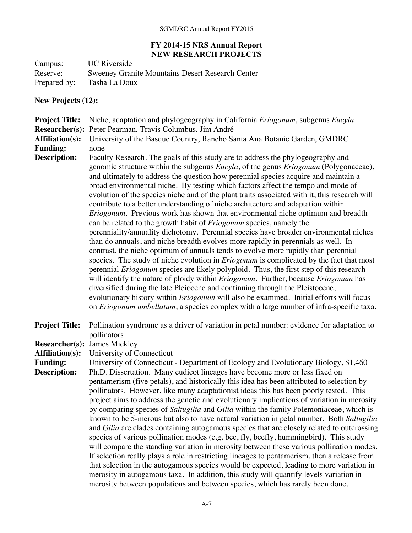## **FY 2014-15 NRS Annual Report NEW RESEARCH PROJECTS**

Campus: UC Riverside<br>Reserve: Sweeney Gran Reserve: Sweeney Granite Mountains Desert Research Center<br>Prepared by: Tasha La Doux Tasha La Doux

## **New Projects (12):**

| <b>Project Title:</b>                  | Niche, adaptation and phylogeography in California Eriogonum, subgenus Eucyla                                                                                                                                                                                                                                                                                                                                                                                                                                                                                                                                                                                                                                                                                                                                                                                                                                                                                                                                                                                                                                                                                                                                                                                                                                                                                                                                                                                                                                                                                                               |
|----------------------------------------|---------------------------------------------------------------------------------------------------------------------------------------------------------------------------------------------------------------------------------------------------------------------------------------------------------------------------------------------------------------------------------------------------------------------------------------------------------------------------------------------------------------------------------------------------------------------------------------------------------------------------------------------------------------------------------------------------------------------------------------------------------------------------------------------------------------------------------------------------------------------------------------------------------------------------------------------------------------------------------------------------------------------------------------------------------------------------------------------------------------------------------------------------------------------------------------------------------------------------------------------------------------------------------------------------------------------------------------------------------------------------------------------------------------------------------------------------------------------------------------------------------------------------------------------------------------------------------------------|
| <b>Researcher(s):</b>                  | Peter Pearman, Travis Columbus, Jim André                                                                                                                                                                                                                                                                                                                                                                                                                                                                                                                                                                                                                                                                                                                                                                                                                                                                                                                                                                                                                                                                                                                                                                                                                                                                                                                                                                                                                                                                                                                                                   |
| <b>Affiliation(s):</b>                 | University of the Basque Country, Rancho Santa Ana Botanic Garden, GMDRC                                                                                                                                                                                                                                                                                                                                                                                                                                                                                                                                                                                                                                                                                                                                                                                                                                                                                                                                                                                                                                                                                                                                                                                                                                                                                                                                                                                                                                                                                                                    |
| <b>Funding:</b>                        | none                                                                                                                                                                                                                                                                                                                                                                                                                                                                                                                                                                                                                                                                                                                                                                                                                                                                                                                                                                                                                                                                                                                                                                                                                                                                                                                                                                                                                                                                                                                                                                                        |
| <b>Description:</b>                    | Faculty Research. The goals of this study are to address the phylogeography and<br>genomic structure within the subgenus <i>Eucyla</i> , of the genus <i>Eriogonum</i> (Polygonaceae),<br>and ultimately to address the question how perennial species acquire and maintain a<br>broad environmental niche. By testing which factors affect the tempo and mode of<br>evolution of the species niche and of the plant traits associated with it, this research will<br>contribute to a better understanding of niche architecture and adaptation within<br><i>Eriogonum</i> . Previous work has shown that environmental niche optimum and breadth<br>can be related to the growth habit of <i>Eriogonum</i> species, namely the<br>perenniality/annuality dichotomy. Perennial species have broader environmental niches<br>than do annuals, and niche breadth evolves more rapidly in perennials as well. In<br>contrast, the niche optimum of annuals tends to evolve more rapidly than perennial<br>species. The study of niche evolution in <i>Eriogonum</i> is complicated by the fact that most<br>perennial Eriogonum species are likely polyploid. Thus, the first step of this research<br>will identify the nature of ploidy within <i>Eriogonum</i> . Further, because <i>Eriogonum</i> has<br>diversified during the late Pleiocene and continuing through the Pleistocene,<br>evolutionary history within <i>Eriogonum</i> will also be examined. Initial efforts will focus<br>on <i>Eriogonum umbellatum</i> , a species complex with a large number of infra-specific taxa. |
| <b>Project Title:</b>                  | Pollination syndrome as a driver of variation in petal number: evidence for adaptation to<br>pollinators                                                                                                                                                                                                                                                                                                                                                                                                                                                                                                                                                                                                                                                                                                                                                                                                                                                                                                                                                                                                                                                                                                                                                                                                                                                                                                                                                                                                                                                                                    |
| <b>Researcher(s): James Mickley</b>    |                                                                                                                                                                                                                                                                                                                                                                                                                                                                                                                                                                                                                                                                                                                                                                                                                                                                                                                                                                                                                                                                                                                                                                                                                                                                                                                                                                                                                                                                                                                                                                                             |
| <b>Affiliation(s):</b>                 | University of Connecticut                                                                                                                                                                                                                                                                                                                                                                                                                                                                                                                                                                                                                                                                                                                                                                                                                                                                                                                                                                                                                                                                                                                                                                                                                                                                                                                                                                                                                                                                                                                                                                   |
| <b>Funding:</b><br><b>Description:</b> | University of Connecticut - Department of Ecology and Evolutionary Biology, \$1,460<br>Ph.D. Dissertation. Many eudicot lineages have become more or less fixed on<br>pentamerism (five petals), and historically this idea has been attributed to selection by<br>pollinators. However, like many adaptationist ideas this has been poorly tested. This<br>project aims to address the genetic and evolutionary implications of variation in merosity<br>by comparing species of Saltugilia and Gilia within the family Polemoniaceae, which is<br>known to be 5-merous but also to have natural variation in petal number. Both Saltugilia<br>and Gilia are clades containing autogamous species that are closely related to outcrossing<br>species of various pollination modes (e.g. bee, fly, beefly, hummingbird). This study<br>will compare the standing variation in merosity between these various pollination modes.<br>If selection really plays a role in restricting lineages to pentamerism, then a release from<br>that selection in the autogamous species would be expected, leading to more variation in<br>merosity in autogamous taxa. In addition, this study will quantify levels variation in<br>merosity between populations and between species, which has rarely been done.                                                                                                                                                                                                                                                                                      |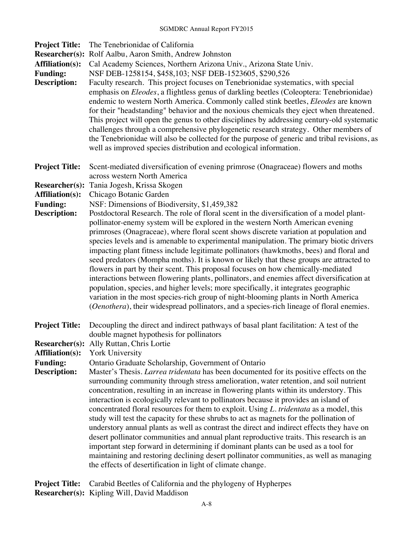| <b>Project Title:</b><br><b>Researcher(s):</b><br><b>Affiliation(s):</b><br><b>Funding:</b><br><b>Description:</b> | The Tenebrionidae of California<br>Rolf Aalbu, Aaron Smith, Andrew Johnston<br>Cal Academy Sciences, Northern Arizona Univ., Arizona State Univ.<br>NSF DEB-1258154, \$458, 103; NSF DEB-1523605, \$290, 526<br>Faculty research. This project focuses on Tenebrionidae systematics, with special<br>emphasis on Eleodes, a flightless genus of darkling beetles (Coleoptera: Tenebrionidae)<br>endemic to western North America. Commonly called stink beetles, Eleodes are known<br>for their "headstanding" behavior and the noxious chemicals they eject when threatened.<br>This project will open the genus to other disciplines by addressing century-old systematic<br>challenges through a comprehensive phylogenetic research strategy. Other members of<br>the Tenebrionidae will also be collected for the purpose of generic and tribal revisions, as<br>well as improved species distribution and ecological information.                                                                                                              |
|--------------------------------------------------------------------------------------------------------------------|------------------------------------------------------------------------------------------------------------------------------------------------------------------------------------------------------------------------------------------------------------------------------------------------------------------------------------------------------------------------------------------------------------------------------------------------------------------------------------------------------------------------------------------------------------------------------------------------------------------------------------------------------------------------------------------------------------------------------------------------------------------------------------------------------------------------------------------------------------------------------------------------------------------------------------------------------------------------------------------------------------------------------------------------------|
| <b>Project Title:</b><br><b>Researcher(s):</b>                                                                     | Scent-mediated diversification of evening primrose (Onagraceae) flowers and moths<br>across western North America<br>Tania Jogesh, Krissa Skogen                                                                                                                                                                                                                                                                                                                                                                                                                                                                                                                                                                                                                                                                                                                                                                                                                                                                                                     |
| <b>Affiliation(s):</b><br><b>Funding:</b>                                                                          | Chicago Botanic Garden<br>NSF: Dimensions of Biodiversity, \$1,459,382                                                                                                                                                                                                                                                                                                                                                                                                                                                                                                                                                                                                                                                                                                                                                                                                                                                                                                                                                                               |
| <b>Description:</b>                                                                                                | Postdoctoral Research. The role of floral scent in the diversification of a model plant-<br>pollinator-enemy system will be explored in the western North American evening<br>primroses (Onagraceae), where floral scent shows discrete variation at population and<br>species levels and is amenable to experimental manipulation. The primary biotic drivers<br>impacting plant fitness include legitimate pollinators (hawkmoths, bees) and floral and<br>seed predators (Mompha moths). It is known or likely that these groups are attracted to<br>flowers in part by their scent. This proposal focuses on how chemically-mediated<br>interactions between flowering plants, pollinators, and enemies affect diversification at<br>population, species, and higher levels; more specifically, it integrates geographic<br>variation in the most species-rich group of night-blooming plants in North America<br>(Oenothera), their widespread pollinators, and a species-rich lineage of floral enemies.                                       |
| <b>Project Title:</b>                                                                                              | Decoupling the direct and indirect pathways of basal plant facilitation: A test of the<br>double magnet hypothesis for pollinators                                                                                                                                                                                                                                                                                                                                                                                                                                                                                                                                                                                                                                                                                                                                                                                                                                                                                                                   |
| <b>Researcher(s):</b><br><b>Affiliation(s):</b>                                                                    | Ally Ruttan, Chris Lortie<br><b>York University</b>                                                                                                                                                                                                                                                                                                                                                                                                                                                                                                                                                                                                                                                                                                                                                                                                                                                                                                                                                                                                  |
| <b>Funding:</b><br><b>Description:</b>                                                                             | Ontario Graduate Scholarship, Government of Ontario<br>Master's Thesis. Larrea tridentata has been documented for its positive effects on the<br>surrounding community through stress amelioration, water retention, and soil nutrient<br>concentration, resulting in an increase in flowering plants within its understory. This<br>interaction is ecologically relevant to pollinators because it provides an island of<br>concentrated floral resources for them to exploit. Using L. tridentata as a model, this<br>study will test the capacity for these shrubs to act as magnets for the pollination of<br>understory annual plants as well as contrast the direct and indirect effects they have on<br>desert pollinator communities and annual plant reproductive traits. This research is an<br>important step forward in determining if dominant plants can be used as a tool for<br>maintaining and restoring declining desert pollinator communities, as well as managing<br>the effects of desertification in light of climate change. |

**Project Title:** Carabid Beetles of California and the phylogeny of Hypherpes **Researcher(s):** Kipling Will, David Maddison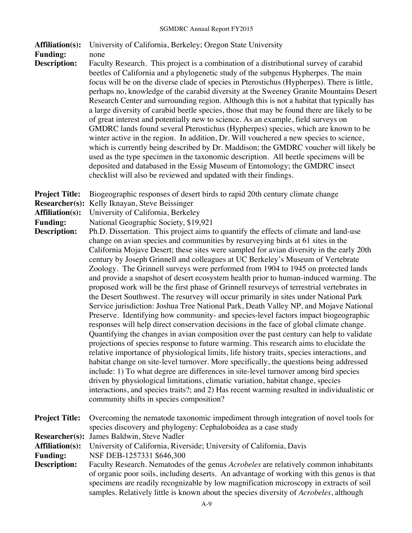| <b>Affiliation(s):</b>                                                                                             | University of California, Berkeley; Oregon State University                                                                                                                                                                                                                                                                                                                                                                                                                                                                                                                                                                                                                                                                                                                                                                                                                                                                                                                                                                                                                                                                                                                                                                                                                                                                                                                                                                                                                                                                                                                                                                                                                                                                                                                                                                                                                                                   |
|--------------------------------------------------------------------------------------------------------------------|---------------------------------------------------------------------------------------------------------------------------------------------------------------------------------------------------------------------------------------------------------------------------------------------------------------------------------------------------------------------------------------------------------------------------------------------------------------------------------------------------------------------------------------------------------------------------------------------------------------------------------------------------------------------------------------------------------------------------------------------------------------------------------------------------------------------------------------------------------------------------------------------------------------------------------------------------------------------------------------------------------------------------------------------------------------------------------------------------------------------------------------------------------------------------------------------------------------------------------------------------------------------------------------------------------------------------------------------------------------------------------------------------------------------------------------------------------------------------------------------------------------------------------------------------------------------------------------------------------------------------------------------------------------------------------------------------------------------------------------------------------------------------------------------------------------------------------------------------------------------------------------------------------------|
| <b>Funding:</b><br><b>Description:</b>                                                                             | none<br>Faculty Research. This project is a combination of a distributional survey of carabid<br>beetles of California and a phylogenetic study of the subgenus Hypherpes. The main<br>focus will be on the diverse clade of species in Pterostichus (Hypherpes). There is little,<br>perhaps no, knowledge of the carabid diversity at the Sweeney Granite Mountains Desert<br>Research Center and surrounding region. Although this is not a habitat that typically has<br>a large diversity of carabid beetle species, those that may be found there are likely to be<br>of great interest and potentially new to science. As an example, field surveys on<br>GMDRC lands found several Pterostichus (Hypherpes) species, which are known to be<br>winter active in the region. In addition, Dr. Will vouchered a new species to science,<br>which is currently being described by Dr. Maddison; the GMDRC voucher will likely be<br>used as the type specimen in the taxonomic description. All beetle specimens will be<br>deposited and databased in the Essig Museum of Entomology; the GMDRC insect<br>checklist will also be reviewed and updated with their findings.                                                                                                                                                                                                                                                                                                                                                                                                                                                                                                                                                                                                                                                                                                                               |
| <b>Project Title:</b><br><b>Researcher(s):</b><br><b>Affiliation(s):</b><br><b>Funding:</b><br><b>Description:</b> | Biogeographic responses of desert birds to rapid 20th century climate change<br>Kelly Iknayan, Steve Beissinger<br>University of California, Berkeley<br>National Geographic Society, \$19,921<br>Ph.D. Dissertation. This project aims to quantify the effects of climate and land-use<br>change on avian species and communities by resurveying birds at 61 sites in the<br>California Mojave Desert; these sites were sampled for avian diversity in the early 20th<br>century by Joseph Grinnell and colleagues at UC Berkeley's Museum of Vertebrate<br>Zoology. The Grinnell surveys were performed from 1904 to 1945 on protected lands<br>and provide a snapshot of desert ecosystem health prior to human-induced warming. The<br>proposed work will be the first phase of Grinnell resurveys of terrestrial vertebrates in<br>the Desert Southwest. The resurvey will occur primarily in sites under National Park<br>Service jurisdiction: Joshua Tree National Park, Death Valley NP, and Mojave National<br>Preserve. Identifying how community- and species-level factors impact biogeographic<br>responses will help direct conservation decisions in the face of global climate change.<br>Quantifying the changes in avian composition over the past century can help to validate<br>projections of species response to future warming. This research aims to elucidate the<br>relative importance of physiological limits, life history traits, species interactions, and<br>habitat change on site-level turnover. More specifically, the questions being addressed<br>include: 1) To what degree are differences in site-level turnover among bird species<br>driven by physiological limitations, climatic variation, habitat change, species<br>interactions, and species traits?; and 2) Has recent warming resulted in individualistic or<br>community shifts in species composition? |
| <b>Project Title:</b>                                                                                              | Overcoming the nematode taxonomic impediment through integration of novel tools for<br>species discovery and phylogeny: Cephaloboidea as a case study                                                                                                                                                                                                                                                                                                                                                                                                                                                                                                                                                                                                                                                                                                                                                                                                                                                                                                                                                                                                                                                                                                                                                                                                                                                                                                                                                                                                                                                                                                                                                                                                                                                                                                                                                         |
| <b>Researcher(s):</b><br><b>Affiliation(s):</b><br><b>Funding:</b><br><b>Description:</b>                          | James Baldwin, Steve Nadler<br>University of California, Riverside; University of California, Davis<br>NSF DEB-1257331 \$646,300<br>Faculty Research. Nematodes of the genus Acrobeles are relatively common inhabitants<br>of organic poor soils, including deserts. An advantage of working with this genus is that<br>specimens are readily recognizable by low magnification microscopy in extracts of soil<br>samples. Relatively little is known about the species diversity of Acrobeles, although                                                                                                                                                                                                                                                                                                                                                                                                                                                                                                                                                                                                                                                                                                                                                                                                                                                                                                                                                                                                                                                                                                                                                                                                                                                                                                                                                                                                     |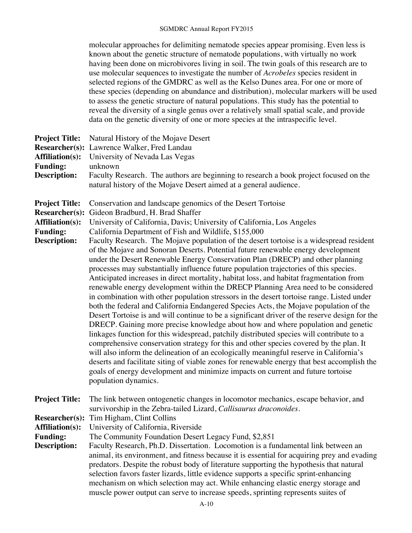|                                                                                                                    | molecular approaches for delimiting nematode species appear promising. Even less is<br>known about the genetic structure of nematode populations, with virtually no work<br>having been done on microbivores living in soil. The twin goals of this research are to<br>use molecular sequences to investigate the number of <i>Acrobeles</i> species resident in<br>selected regions of the GMDRC as well as the Kelso Dunes area. For one or more of<br>these species (depending on abundance and distribution), molecular markers will be used<br>to assess the genetic structure of natural populations. This study has the potential to<br>reveal the diversity of a single genus over a relatively small spatial scale, and provide<br>data on the genetic diversity of one or more species at the intraspecific level.                                                                                                                                                                                                                                                                                                                                                                                                                                                                                                                                                                                                                                                                                                                                                                                                                     |
|--------------------------------------------------------------------------------------------------------------------|--------------------------------------------------------------------------------------------------------------------------------------------------------------------------------------------------------------------------------------------------------------------------------------------------------------------------------------------------------------------------------------------------------------------------------------------------------------------------------------------------------------------------------------------------------------------------------------------------------------------------------------------------------------------------------------------------------------------------------------------------------------------------------------------------------------------------------------------------------------------------------------------------------------------------------------------------------------------------------------------------------------------------------------------------------------------------------------------------------------------------------------------------------------------------------------------------------------------------------------------------------------------------------------------------------------------------------------------------------------------------------------------------------------------------------------------------------------------------------------------------------------------------------------------------------------------------------------------------------------------------------------------------|
| <b>Project Title:</b><br><b>Researcher(s):</b><br><b>Affiliation(s):</b><br><b>Funding:</b><br><b>Description:</b> | Natural History of the Mojave Desert<br>Lawrence Walker, Fred Landau<br>University of Nevada Las Vegas<br>unknown<br>Faculty Research. The authors are beginning to research a book project focused on the                                                                                                                                                                                                                                                                                                                                                                                                                                                                                                                                                                                                                                                                                                                                                                                                                                                                                                                                                                                                                                                                                                                                                                                                                                                                                                                                                                                                                                       |
|                                                                                                                    | natural history of the Mojave Desert aimed at a general audience.                                                                                                                                                                                                                                                                                                                                                                                                                                                                                                                                                                                                                                                                                                                                                                                                                                                                                                                                                                                                                                                                                                                                                                                                                                                                                                                                                                                                                                                                                                                                                                                |
| <b>Project Title:</b><br><b>Researcher(s):</b><br><b>Affiliation(s):</b><br><b>Funding:</b><br><b>Description:</b> | Conservation and landscape genomics of the Desert Tortoise<br>Gideon Bradburd, H. Brad Shaffer<br>University of California, Davis; University of California, Los Angeles<br>California Department of Fish and Wildlife, \$155,000<br>Faculty Research. The Mojave population of the desert tortoise is a widespread resident<br>of the Mojave and Sonoran Deserts. Potential future renewable energy development<br>under the Desert Renewable Energy Conservation Plan (DRECP) and other planning<br>processes may substantially influence future population trajectories of this species.<br>Anticipated increases in direct mortality, habitat loss, and habitat fragmentation from<br>renewable energy development within the DRECP Planning Area need to be considered<br>in combination with other population stressors in the desert tortoise range. Listed under<br>both the federal and California Endangered Species Acts, the Mojave population of the<br>Desert Tortoise is and will continue to be a significant driver of the reserve design for the<br>DRECP. Gaining more precise knowledge about how and where population and genetic<br>linkages function for this widespread, patchily distributed species will contribute to a<br>comprehensive conservation strategy for this and other species covered by the plan. It<br>will also inform the delineation of an ecologically meaningful reserve in California's<br>deserts and facilitate siting of viable zones for renewable energy that best accomplish the<br>goals of energy development and minimize impacts on current and future tortoise<br>population dynamics. |
| <b>Project Title:</b>                                                                                              | The link between ontogenetic changes in locomotor mechanics, escape behavior, and<br>survivorship in the Zebra-tailed Lizard, Callisaurus draconoides.                                                                                                                                                                                                                                                                                                                                                                                                                                                                                                                                                                                                                                                                                                                                                                                                                                                                                                                                                                                                                                                                                                                                                                                                                                                                                                                                                                                                                                                                                           |
| <b>Researcher(s):</b><br><b>Affiliation(s):</b><br><b>Funding:</b><br><b>Description:</b>                          | Tim Higham, Clint Collins<br>University of California, Riverside<br>The Community Foundation Desert Legacy Fund, \$2,851<br>Faculty Research, Ph.D. Dissertation. Locomotion is a fundamental link between an<br>animal, its environment, and fitness because it is essential for acquiring prey and evading<br>predators. Despite the robust body of literature supporting the hypothesis that natural<br>selection favors faster lizards, little evidence supports a specific sprint-enhancing<br>mechanism on which selection may act. While enhancing elastic energy storage and<br>muscle power output can serve to increase speeds, sprinting represents suites of                                                                                                                                                                                                                                                                                                                                                                                                                                                                                                                                                                                                                                                                                                                                                                                                                                                                                                                                                                         |